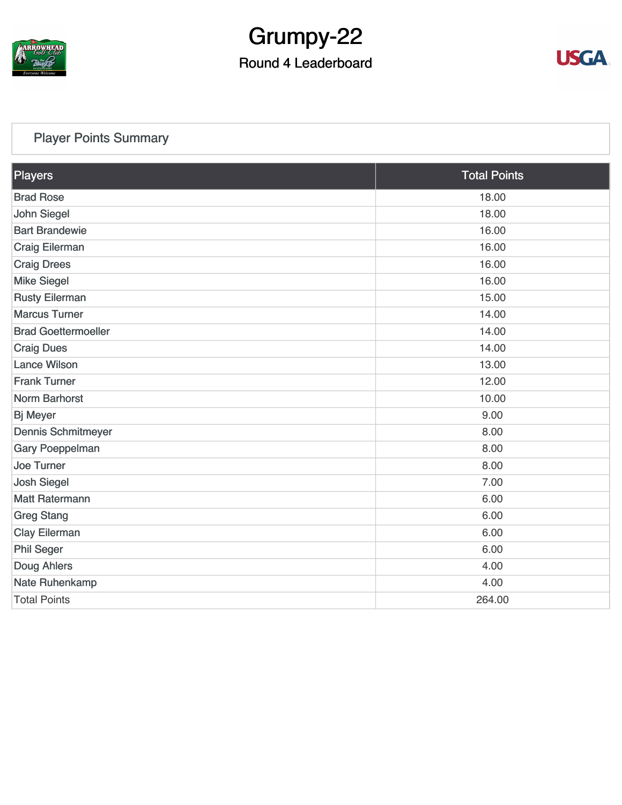

## Grumpy-22

### Round 4 Leaderboard



### [Player Points Summary](https://static.golfgenius.com/v2tournaments/total_points?league_id=8123139340541895924&round_id=8123140159303591283)

| Players                    | <b>Total Points</b> |
|----------------------------|---------------------|
| <b>Brad Rose</b>           | 18.00               |
| <b>John Siegel</b>         | 18.00               |
| <b>Bart Brandewie</b>      | 16.00               |
| Craig Eilerman             | 16.00               |
| <b>Craig Drees</b>         | 16.00               |
| <b>Mike Siegel</b>         | 16.00               |
| <b>Rusty Eilerman</b>      | 15.00               |
| <b>Marcus Turner</b>       | 14.00               |
| <b>Brad Goettermoeller</b> | 14.00               |
| <b>Craig Dues</b>          | 14.00               |
| <b>Lance Wilson</b>        | 13.00               |
| <b>Frank Turner</b>        | 12.00               |
| <b>Norm Barhorst</b>       | 10.00               |
| <b>Bj Meyer</b>            | 9.00                |
| <b>Dennis Schmitmeyer</b>  | 8.00                |
| Gary Poeppelman            | 8.00                |
| <b>Joe Turner</b>          | 8.00                |
| <b>Josh Siegel</b>         | 7.00                |
| <b>Matt Ratermann</b>      | 6.00                |
| <b>Greg Stang</b>          | 6.00                |
| <b>Clay Eilerman</b>       | 6.00                |
| <b>Phil Seger</b>          | 6.00                |
| Doug Ahlers                | 4.00                |
| Nate Ruhenkamp             | 4.00                |
| <b>Total Points</b>        | 264.00              |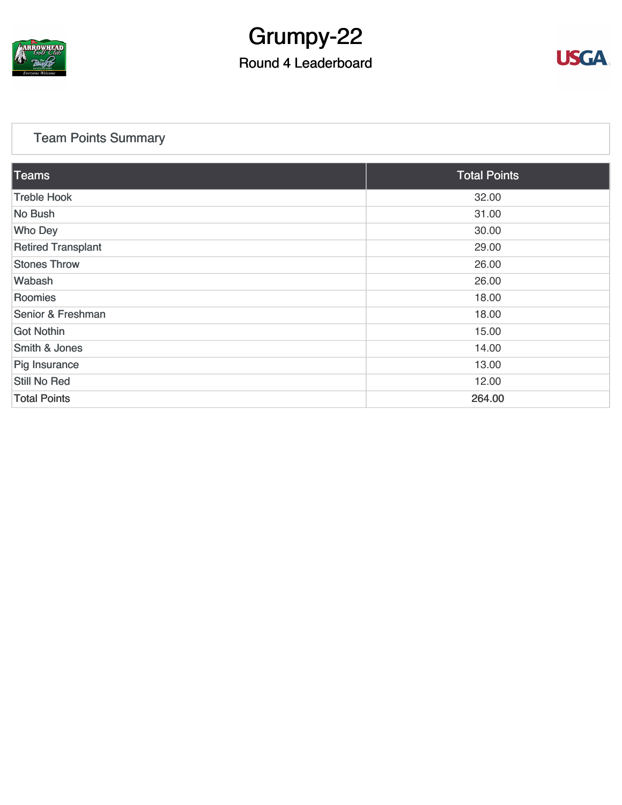

## Grumpy-22

### Round 4 Leaderboard



### [Team Points Summary](https://static.golfgenius.com/v2tournaments/team_points?league_id=8123139340541895924&round_id=8123140159303591283)

| Teams                     | <b>Total Points</b> |
|---------------------------|---------------------|
| <b>Treble Hook</b>        | 32.00               |
| No Bush                   | 31.00               |
| <b>Who Dey</b>            | 30.00               |
| <b>Retired Transplant</b> | 29.00               |
| <b>Stones Throw</b>       | 26.00               |
| Wabash                    | 26.00               |
| Roomies                   | 18.00               |
| Senior & Freshman         | 18.00               |
| <b>Got Nothin</b>         | 15.00               |
| <b>Smith &amp; Jones</b>  | 14.00               |
| Pig Insurance             | 13.00               |
| Still No Red              | 12.00               |
| <b>Total Points</b>       | 264.00              |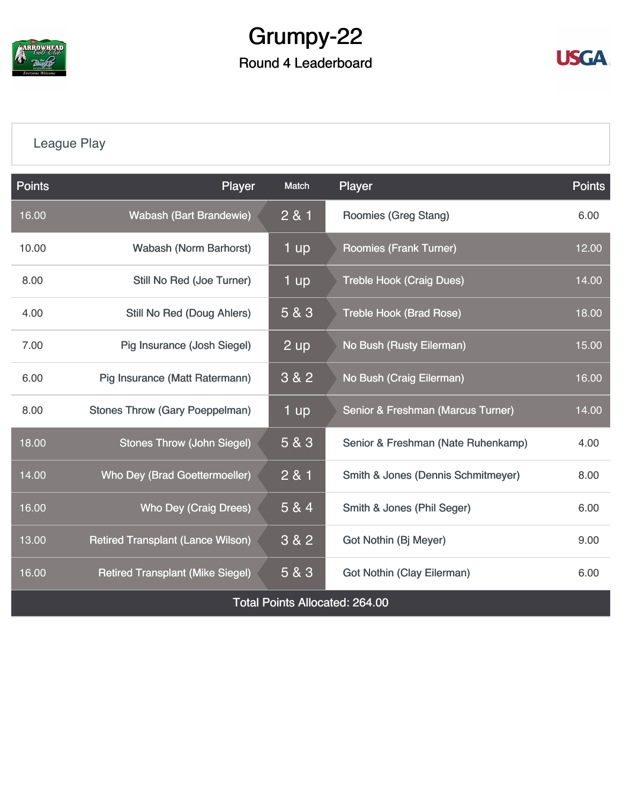

### Grumpy-22 Round 4 Leaderboard



### [League Play](https://static.golfgenius.com/v2tournaments/8123149113739977892?called_from=&round_index=4)

| <b>Points</b>                         | Player                                   | Match | Player                             | Points |  |  |  |
|---------------------------------------|------------------------------------------|-------|------------------------------------|--------|--|--|--|
| 16.00                                 | <b>Wabash (Bart Brandewie)</b>           | 2 & 1 | Roomies (Greg Stang)               |        |  |  |  |
| 10.00                                 | <b>Wabash (Norm Barhorst)</b>            | 1 up  | <b>Roomies (Frank Turner)</b>      |        |  |  |  |
| 8.00                                  | Still No Red (Joe Turner)                | 1 up  | <b>Treble Hook (Craig Dues)</b>    | 14.00  |  |  |  |
| 4.00                                  | <b>Still No Red (Doug Ahlers)</b>        | 5 & 3 | <b>Treble Hook (Brad Rose)</b>     | 18.00  |  |  |  |
| 7.00                                  | Pig Insurance (Josh Siegel)              | 2 up  | No Bush (Rusty Eilerman)           | 15.00  |  |  |  |
| 6.00                                  | Pig Insurance (Matt Ratermann)           | 3 & 2 | No Bush (Craig Eilerman)           | 16.00  |  |  |  |
| 8.00                                  | <b>Stones Throw (Gary Poeppelman)</b>    | 1 up  | Senior & Freshman (Marcus Turner)  | 14.00  |  |  |  |
| 18.00                                 | <b>Stones Throw (John Siegel)</b>        | 5 & 3 | Senior & Freshman (Nate Ruhenkamp) | 4.00   |  |  |  |
| 14.00                                 | <b>Who Dey (Brad Goettermoeller)</b>     | 2 & 1 | Smith & Jones (Dennis Schmitmeyer) |        |  |  |  |
| 16.00                                 | Who Dey (Craig Drees)                    | 5 & 4 | Smith & Jones (Phil Seger)         |        |  |  |  |
| 13.00                                 | <b>Retired Transplant (Lance Wilson)</b> | 3 & 2 | Got Nothin (Bj Meyer)              | 9.00   |  |  |  |
| 16.00                                 | <b>Retired Transplant (Mike Siegel)</b>  | 5 & 3 | Got Nothin (Clay Eilerman)         |        |  |  |  |
| <b>Total Points Allocated: 264.00</b> |                                          |       |                                    |        |  |  |  |